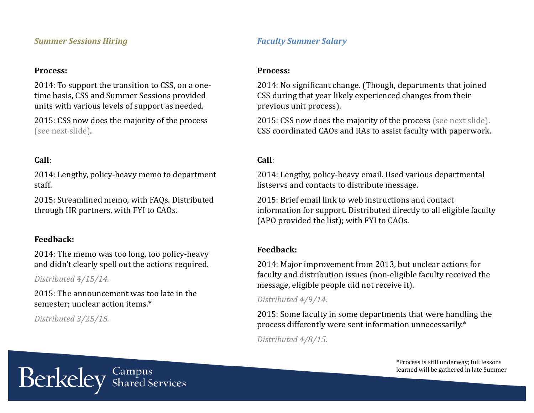#### *Summer Sessions Hiring*

#### Process:

2014: To support the transition to CSS, on a onetime basis, CSS and Summer Sessions provided units with various levels of support as needed.

2015: CSS now does the majority of the process (see next slide).

## **Call**:

2014: Lengthy, policy-heavy memo to department staff. 

2015: Streamlined memo, with FAQs. Distributed through HR partners, with FYI to CAOs.

## **Feedback:**

2014: The memo was too long, too policy-heavy and didn't clearly spell out the actions required.

*Distributed 4/15/14.*

2015: The announcement was too late in the semester; unclear action items.\*

*Distributed 3/25/15.*

# *Faculty Summer Salary*

#### Process:

2014: No significant change. (Though, departments that joined CSS during that year likely experienced changes from their previous unit process).

2015: CSS now does the majority of the process (see next slide). CSS coordinated CAOs and RAs to assist faculty with paperwork.

## **Call**:

2014: Lengthy, policy-heavy email. Used various departmental listservs and contacts to distribute message.

2015: Brief email link to web instructions and contact information for support. Distributed directly to all eligible faculty (APO provided the list); with FYI to CAOs.

#### **Feedback:**

2014: Major improvement from 2013, but unclear actions for faculty and distribution issues (non-eligible faculty received the message, eligible people did not receive it).

#### *Distributed 4/9/14.*

2015: Some faculty in some departments that were handling the process differently were sent information unnecessarily.\*

*Distributed 4/8/15.*

\*Process is still underway; full lessons learned will be gathered in late Summer

Berkeley Shared Services